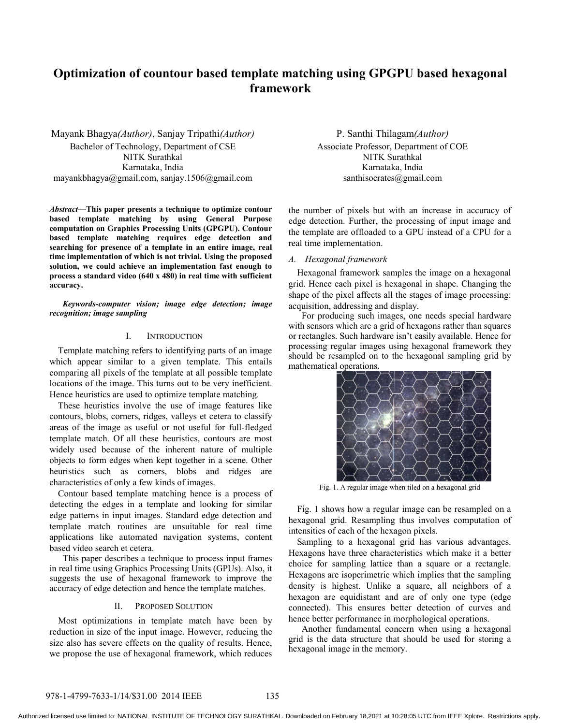# **Optimization of countour based template matching using GPGPU based hexagonal framework**

Mayank Bhagya*(Author)*, Sanjay Tripathi*(Author)* Bachelor of Technology, Department of CSE NITK Surathkal Karnataka, India mayankbhagya@gmail.com, sanjay.1506@gmail.com

*Abstract***—This paper presents a technique to optimize contour based template matching by using General Purpose computation on Graphics Processing Units (GPGPU). Contour based template matching requires edge detection and searching for presence of a template in an entire image, real time implementation of which is not trivial. Using the proposed solution, we could achieve an implementation fast enough to process a standard video (640 x 480) in real time with sufficient accuracy.** 

*Keywords-computer vision; image edge detection; image recognition; image sampling* 

## I. INTRODUCTION

Template matching refers to identifying parts of an image which appear similar to a given template. This entails comparing all pixels of the template at all possible template locations of the image. This turns out to be very inefficient. Hence heuristics are used to optimize template matching.

These heuristics involve the use of image features like contours, blobs, corners, ridges, valleys et cetera to classify areas of the image as useful or not useful for full-fledged template match. Of all these heuristics, contours are most widely used because of the inherent nature of multiple objects to form edges when kept together in a scene. Other heuristics such as corners, blobs and ridges are characteristics of only a few kinds of images.

Contour based template matching hence is a process of detecting the edges in a template and looking for similar edge patterns in input images. Standard edge detection and template match routines are unsuitable for real time applications like automated navigation systems, content based video search et cetera.

This paper describes a technique to process input frames in real time using Graphics Processing Units (GPUs). Also, it suggests the use of hexagonal framework to improve the accuracy of edge detection and hence the template matches.

#### II. PROPOSED SOLUTION

Most optimizations in template match have been by reduction in size of the input image. However, reducing the size also has severe effects on the quality of results. Hence, we propose the use of hexagonal framework, which reduces

P. Santhi Thilagam*(Author)* Associate Professor, Department of COE NITK Surathkal Karnataka, India santhisocrates@gmail.com

the number of pixels but with an increase in accuracy of edge detection. Further, the processing of input image and the template are offloaded to a GPU instead of a CPU for a real time implementation.

#### *A. Hexagonal framework*

Hexagonal framework samples the image on a hexagonal grid. Hence each pixel is hexagonal in shape. Changing the shape of the pixel affects all the stages of image processing: acquisition, addressing and display.

For producing such images, one needs special hardware with sensors which are a grid of hexagons rather than squares or rectangles. Such hardware isn't easily available. Hence for processing regular images using hexagonal framework they should be resampled on to the hexagonal sampling grid by mathematical operations.



Fig. 1. A regular image when tiled on a hexagonal grid

Fig. 1 shows how a regular image can be resampled on a hexagonal grid. Resampling thus involves computation of intensities of each of the hexagon pixels.

Sampling to a hexagonal grid has various advantages. Hexagons have three characteristics which make it a better choice for sampling lattice than a square or a rectangle. Hexagons are isoperimetric which implies that the sampling density is highest. Unlike a square, all neighbors of a hexagon are equidistant and are of only one type (edge connected). This ensures better detection of curves and hence better performance in morphological operations.

Another fundamental concern when using a hexagonal grid is the data structure that should be used for storing a hexagonal image in the memory.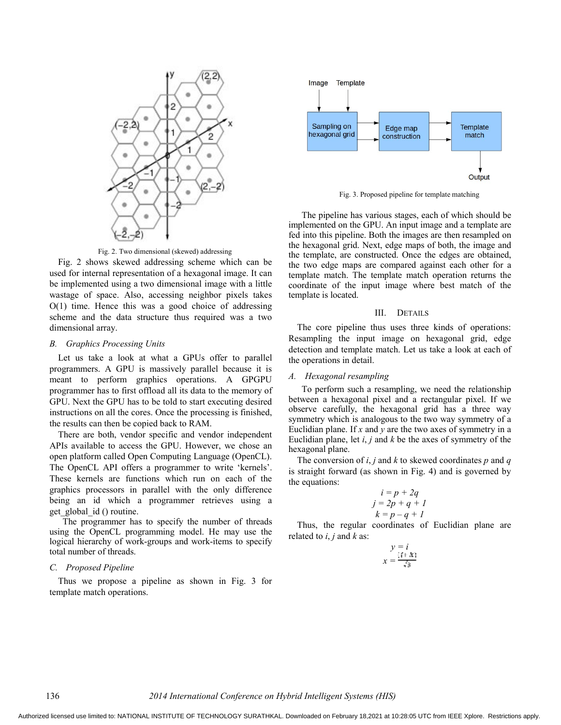

Fig. 2. Two dimensional (skewed) addressing

Fig. 2 shows skewed addressing scheme which can be used for internal representation of a hexagonal image. It can be implemented using a two dimensional image with a little wastage of space. Also, accessing neighbor pixels takes O(1) time. Hence this was a good choice of addressing scheme and the data structure thus required was a two dimensional array.

#### *B. Graphics Processing Units*

Let us take a look at what a GPUs offer to parallel programmers. A GPU is massively parallel because it is meant to perform graphics operations. A GPGPU programmer has to first offload all its data to the memory of GPU. Next the GPU has to be told to start executing desired instructions on all the cores. Once the processing is finished, the results can then be copied back to RAM.

There are both, vendor specific and vendor independent APIs available to access the GPU. However, we chose an open platform called Open Computing Language (OpenCL). The OpenCL API offers a programmer to write 'kernels'. These kernels are functions which run on each of the graphics processors in parallel with the only difference being an id which a programmer retrieves using a get global id () routine.

The programmer has to specify the number of threads using the OpenCL programming model. He may use the logical hierarchy of work-groups and work-items to specify total number of threads.

#### *C. Proposed Pipeline*

Thus we propose a pipeline as shown in Fig. 3 for template match operations.



Fig. 3. Proposed pipeline for template matching

The pipeline has various stages, each of which should be implemented on the GPU. An input image and a template are fed into this pipeline. Both the images are then resampled on the hexagonal grid. Next, edge maps of both, the image and the template, are constructed. Once the edges are obtained, the two edge maps are compared against each other for a template match. The template match operation returns the coordinate of the input image where best match of the template is located.

#### III. DETAILS

The core pipeline thus uses three kinds of operations: Resampling the input image on hexagonal grid, edge detection and template match. Let us take a look at each of the operations in detail.

#### *A. Hexagonal resampling*

To perform such a resampling, we need the relationship between a hexagonal pixel and a rectangular pixel. If we observe carefully, the hexagonal grid has a three way symmetry which is analogous to the two way symmetry of a Euclidian plane. If *x* and *y* are the two axes of symmetry in a Euclidian plane, let *i*, *j* and *k* be the axes of symmetry of the hexagonal plane.

The conversion of *i*, *j* and *k* to skewed coordinates *p* and *q* is straight forward (as shown in Fig. 4) and is governed by the equations:

$$
i = p + 2q
$$
  
\n
$$
j = 2p + q + 1
$$
  
\n
$$
k = p - q + 1
$$

Thus, the regular coordinates of Euclidian plane are related to *i*, *j* and *k* as:

> $y = i$ *x =*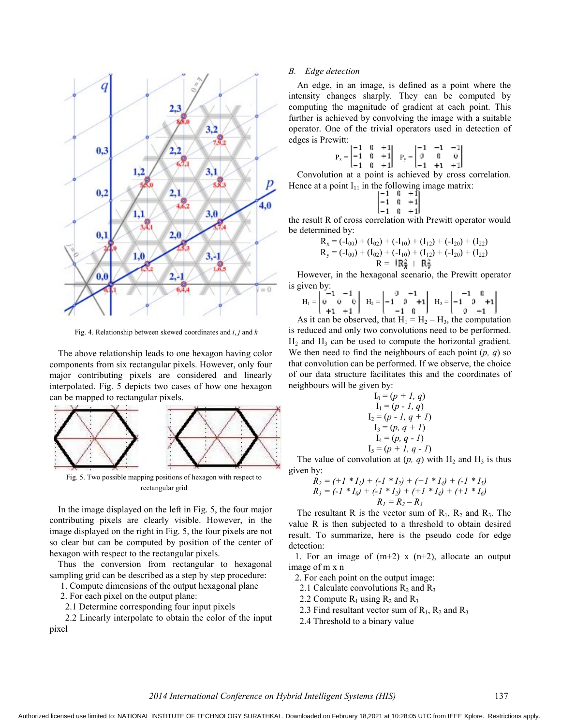

Fig. 4. Relationship between skewed coordinates and *i*, *j* and *k*

The above relationship leads to one hexagon having color components from six rectangular pixels. However, only four major contributing pixels are considered and linearly interpolated. Fig. 5 depicts two cases of how one hexagon can be mapped to rectangular pixels.



Fig. 5. Two possible mapping positions of hexagon with respect to rectangular grid

In the image displayed on the left in Fig. 5, the four major contributing pixels are clearly visible. However, in the image displayed on the right in Fig. 5, the four pixels are not so clear but can be computed by position of the center of hexagon with respect to the rectangular pixels.

Thus the conversion from rectangular to hexagonal sampling grid can be described as a step by step procedure:

- 1. Compute dimensions of the output hexagonal plane
- 2. For each pixel on the output plane:
- 2.1 Determine corresponding four input pixels

 2.2 Linearly interpolate to obtain the color of the input pixel

## *B. Edge detection*

An edge, in an image, is defined as a point where the intensity changes sharply. They can be computed by computing the magnitude of gradient at each point. This further is achieved by convolving the image with a suitable operator. One of the trivial operators used in detection of edges is Prewitt:

$$
P_x = \begin{bmatrix} -1 & 0 & +1 \\ -1 & 0 & +1 \\ -1 & 0 & +1 \end{bmatrix} \quad P_y = \begin{bmatrix} -1 & -1 & -1 \\ 0 & 0 & 0 \\ -1 & +1 & +1 \end{bmatrix}
$$

Convolution at a point is achieved by cross correlation. Hence at a point  $I_{11}$  in the following image matrix:

$$
\begin{array}{ccc}\n-1 & 0 & +1 \\
-1 & 0 & +1 \\
-1 & 0 & +1\n\end{array}
$$

the result R of cross correlation with Prewitt operator would be determined by:

$$
R_x = (-I_{00}) + (I_{02}) + (-I_{10}) + (I_{12}) + (-I_{20}) + (I_{22})
$$
  
\n
$$
R_y = (-I_{00}) + (I_{02}) + (-I_{10}) + (I_{12}) + (-I_{20}) + (I_{22})
$$
  
\n
$$
R = \mathbf{R}^2 \mathbf{R} + \mathbf{R}^2
$$

However, in the hexagonal scenario, the Prewitt operator is given by:

 $H_1 = \begin{bmatrix} 0 & 0 & 0 \\ 0 & 0 & 0 \\ +1 & +1 & 1 \end{bmatrix}$   $H_2 = \begin{bmatrix} 0 & +1 \\ -1 & 0 \\ -1 & 0 \end{bmatrix}$   $H_3 = \begin{bmatrix} -1 & 0 \\ -1 & 0 \\ 0 & +1 \end{bmatrix}$ 

As it can be observed, that  $H_1 = H_2 - H_3$ , the computation is reduced and only two convolutions need to be performed.  $H_2$  and  $H_3$  can be used to compute the horizontal gradient. We then need to find the neighbours of each point  $(p, q)$  so that convolution can be performed. If we observe, the choice of our data structure facilitates this and the coordinates of neighbours will be given by:

$$
I_0 = (p + 1, q)
$$
  
\n
$$
I_1 = (p - 1, q)
$$
  
\n
$$
I_2 = (p - 1, q + 1)
$$
  
\n
$$
I_3 = (p, q + 1)
$$
  
\n
$$
I_4 = (p, q - 1)
$$
  
\n
$$
I_5 = (p + 1, q - 1)
$$

The value of convolution at  $(p, q)$  with  $H_2$  and  $H_3$  is thus given by:

$$
R_2 = (+1 * I_1) + (-1 * I_2) + (+1 * I_4) + (-1 * I_5)
$$
  
\n
$$
R_3 = (-1 * I_0) + (-1 * I_2) + (+1 * I_4) + (+1 * I_6)
$$
  
\n
$$
R_1 = R_2 - R_3
$$

The resultant R is the vector sum of  $R_1$ ,  $R_2$  and  $R_3$ . The value R is then subjected to a threshold to obtain desired result. To summarize, here is the pseudo code for edge detection:

1. For an image of  $(m+2)$  x  $(n+2)$ , allocate an output image of m x n

2. For each point on the output image:

2.1 Calculate convolutions  $R_2$  and  $R_3$ 

2.2 Compute  $R_1$  using  $R_2$  and  $R_3$ 

2.3 Find resultant vector sum of  $R_1$ ,  $R_2$  and  $R_3$ 

2.4 Threshold to a binary value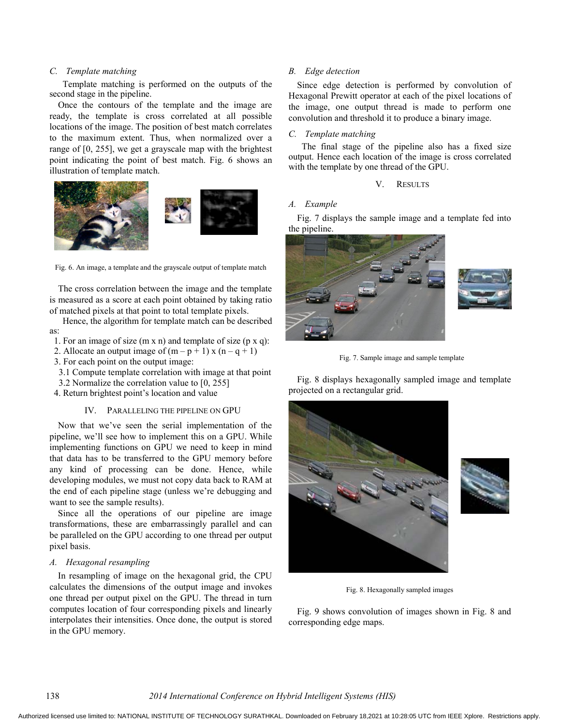# *C. Template matching*

Template matching is performed on the outputs of the second stage in the pipeline.

Once the contours of the template and the image are ready, the template is cross correlated at all possible locations of the image. The position of best match correlates to the maximum extent. Thus, when normalized over a range of [0, 255], we get a grayscale map with the brightest point indicating the point of best match. Fig. 6 shows an illustration of template match.



Fig. 6. An image, a template and the grayscale output of template match

The cross correlation between the image and the template is measured as a score at each point obtained by taking ratio of matched pixels at that point to total template pixels.

Hence, the algorithm for template match can be described as:

- 1. For an image of size  $(m \times n)$  and template of size  $(p \times q)$ :
- 2. Allocate an output image of  $(m p + 1) x (n q + 1)$
- 3. For each point on the output image:
- 3.1 Compute template correlation with image at that point
- 3.2 Normalize the correlation value to [0, 255]
- 4. Return brightest point's location and value

## IV. PARALLELING THE PIPELINE ON GPU

Now that we've seen the serial implementation of the pipeline, we'll see how to implement this on a GPU. While implementing functions on GPU we need to keep in mind that data has to be transferred to the GPU memory before any kind of processing can be done. Hence, while developing modules, we must not copy data back to RAM at the end of each pipeline stage (unless we're debugging and want to see the sample results).

Since all the operations of our pipeline are image transformations, these are embarrassingly parallel and can be paralleled on the GPU according to one thread per output pixel basis.

## *A. Hexagonal resampling*

In resampling of image on the hexagonal grid, the CPU calculates the dimensions of the output image and invokes one thread per output pixel on the GPU. The thread in turn computes location of four corresponding pixels and linearly interpolates their intensities. Once done, the output is stored in the GPU memory.

## *B. Edge detection*

Since edge detection is performed by convolution of Hexagonal Prewitt operator at each of the pixel locations of the image, one output thread is made to perform one convolution and threshold it to produce a binary image.

# *C. Template matching*

The final stage of the pipeline also has a fixed size output. Hence each location of the image is cross correlated with the template by one thread of the GPU.

V. RESULTS

#### *A. Example*

Fig. 7 displays the sample image and a template fed into the pipeline.



Fig. 7. Sample image and sample template

Fig. 8 displays hexagonally sampled image and template projected on a rectangular grid.





Fig. 8. Hexagonally sampled images

Fig. 9 shows convolution of images shown in Fig. 8 and corresponding edge maps.

Authorized licensed use limited to: NATIONAL INSTITUTE OF TECHNOLOGY SURATHKAL. Downloaded on February 18,2021 at 10:28:05 UTC from IEEE Xplore. Restrictions apply.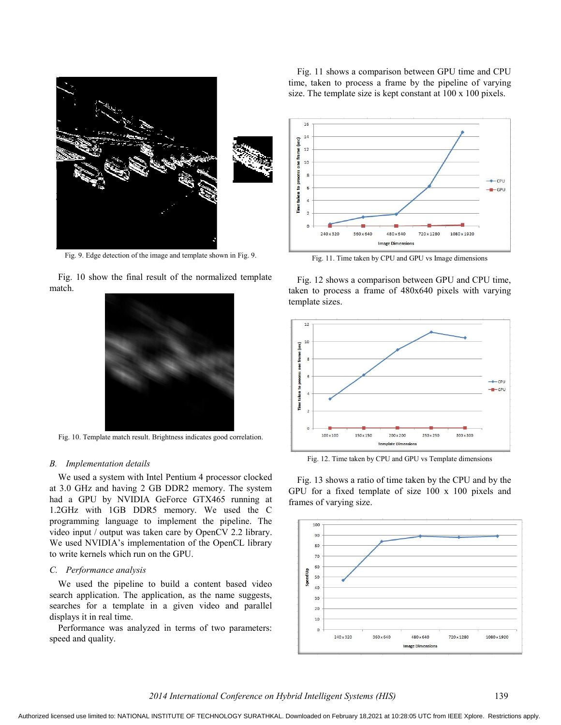

Fig. 9. Edge detection of the image and template shown in Fig. 9.

Fig. 10 show the final result of the normalized template match.



Fig. 10. Template match result. Brightness indicates good correlation.

#### *B. Implementation details*

We used a system with Intel Pentium 4 processor clocked at 3.0 GHz and having 2 GB DDR2 memory. The system had a GPU by NVIDIA GeForce GTX465 running at 1.2GHz with 1GB DDR5 memory. We used the C programming language to implement the pipeline. The video input / output was taken care by OpenCV 2.2 library. We used NVIDIA's implementation of the OpenCL library to write kernels which run on the GPU.

## *C. Performance analysis*

We used the pipeline to build a content based video search application. The application, as the name suggests, searches for a template in a given video and parallel displays it in real time.

Performance was analyzed in terms of two parameters: speed and quality.

Fig. 11 shows a comparison between GPU time and CPU time, taken to process a frame by the pipeline of varying size. The template size is kept constant at  $100 \times 100$  pixels.



Fig. 11. Time taken by CPU and GPU vs Image dimensions

Fig. 12 shows a comparison between GPU and CPU time, taken to process a frame of 480x640 pixels with varying template sizes.



Fig. 12. Time taken by CPU and GPU vs Template dimensions

Fig. 13 shows a ratio of time taken by the CPU and by the GPU for a fixed template of size 100 x 100 pixels and frames of varying size.



*2014 International Conference on Hybrid Intelligent Systems (HIS)* 139